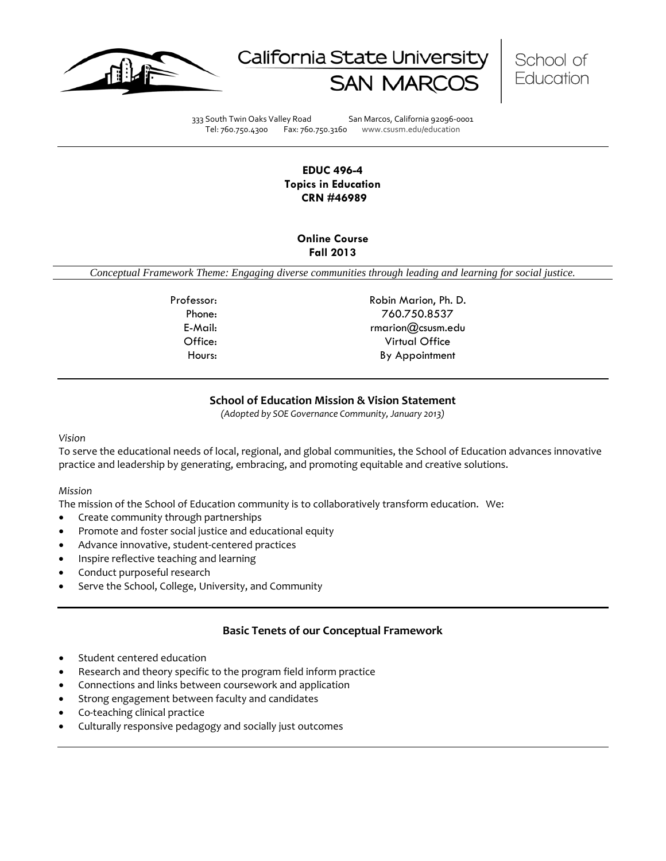





333 South Twin Oaks Valley Road San Marcos, California 92096-0001 Tel: 760.750.4300 Fax: 760.750.3160 www.csusm.edu/education

# **EDUC 496-4 Topics in Education CRN #46989**

# **Online Course Fall 2013**

*Conceptual Framework Theme: Engaging diverse communities through leading and learning for social justice.*

Professor: Robin Marion, Ph. D. Phone: 760.750.8537 E-Mail: The Contract of the Contract of the Contract of the Contract of the Contract of the Contract of the Contract of the Contract of the Contract of the Contract of the Contract of the Contract of the Contract of the Co Office: Virtual Office Hours: By Appointment

# **School of Education Mission & Vision Statement**

*(Adopted by SOE Governance Community, January 2013)*

### *Vision*

To serve the educational needs of local, regional, and global communities, the School of Education advances innovative practice and leadership by generating, embracing, and promoting equitable and creative solutions.

### *Mission*

The mission of the School of Education community is to collaboratively transform education. We:

- Create community through partnerships
- Promote and foster social justice and educational equity
- Advance innovative, student-centered practices
- Inspire reflective teaching and learning
- Conduct purposeful research
- Serve the School, College, University, and Community

# **Basic Tenets of our Conceptual Framework**

- Student centered education
- Research and theory specific to the program field inform practice
- Connections and links between coursework and application
- Strong engagement between faculty and candidates
- Co-teaching clinical practice
- Culturally responsive pedagogy and socially just outcomes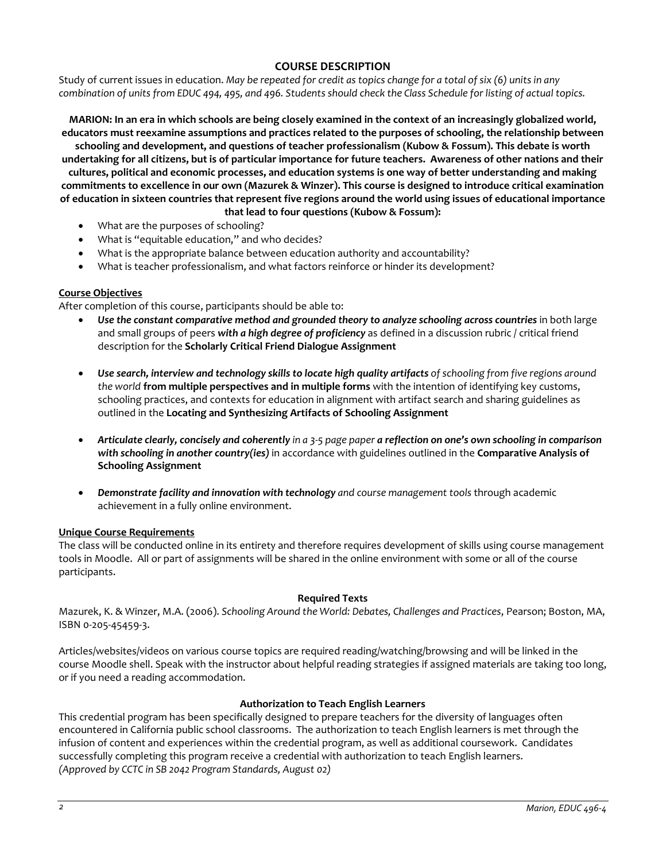# **COURSE DESCRIPTION**

Study of current issues in education. *May be repeated for credit as topics change for a total of six (6) units in any combination of units from EDUC 494, 495, and 496. Students should check the Class Schedule for listing of actual topics.*

**MARION: In an era in which schools are being closely examined in the context of an increasingly globalized world, educators must reexamine assumptions and practices related to the purposes of schooling, the relationship between schooling and development, and questions of teacher professionalism (Kubow & Fossum). This debate is worth undertaking for all citizens, but is of particular importance for future teachers. Awareness of other nations and their cultures, political and economic processes, and education systems is one way of better understanding and making commitments to excellence in our own (Mazurek & Winzer). This course is designed to introduce critical examination of education in sixteen countries that represent five regions around the world using issues of educational importance that lead to four questions (Kubow & Fossum):**

- What are the purposes of schooling?
- What is "equitable education," and who decides?
- What is the appropriate balance between education authority and accountability?
- What is teacher professionalism, and what factors reinforce or hinder its development?

### **Course Objectives**

After completion of this course, participants should be able to:

- *Use the constant comparative method and grounded theory to analyze schooling across countries* in both large and small groups of peers *with a high degree of proficiency* as defined in a discussion rubric / critical friend description for the **Scholarly Critical Friend Dialogue Assignment**
- *Use search, interview and technology skills to locate high quality artifacts of schooling from five regions around the world* **from multiple perspectives and in multiple forms** with the intention of identifying key customs, schooling practices, and contexts for education in alignment with artifact search and sharing guidelines as outlined in the **Locating and Synthesizing Artifacts of Schooling Assignment**
- *Articulate clearly, concisely and coherently in a 3-5 page paper a reflection on one's own schooling in comparison with schooling in another country(ies)* in accordance with guidelines outlined in the **Comparative Analysis of Schooling Assignment**
- *Demonstrate facility and innovation with technology and course management tools* through academic achievement in a fully online environment.

### **Unique Course Requirements**

The class will be conducted online in its entirety and therefore requires development of skills using course management tools in Moodle. All or part of assignments will be shared in the online environment with some or all of the course participants.

#### **Required Texts**

Mazurek, K. & Winzer, M.A. (2006). *Schooling Around the World: Debates, Challenges and Practices*, Pearson; Boston, MA, ISBN 0-205-45459-3.

Articles/websites/videos on various course topics are required reading/watching/browsing and will be linked in the course Moodle shell. Speak with the instructor about helpful reading strategies if assigned materials are taking too long, or if you need a reading accommodation.

### **Authorization to Teach English Learners**

This credential program has been specifically designed to prepare teachers for the diversity of languages often encountered in California public school classrooms. The authorization to teach English learners is met through the infusion of content and experiences within the credential program, as well as additional coursework. Candidates successfully completing this program receive a credential with authorization to teach English learners. *(Approved by CCTC in SB 2042 Program Standards, August 02)*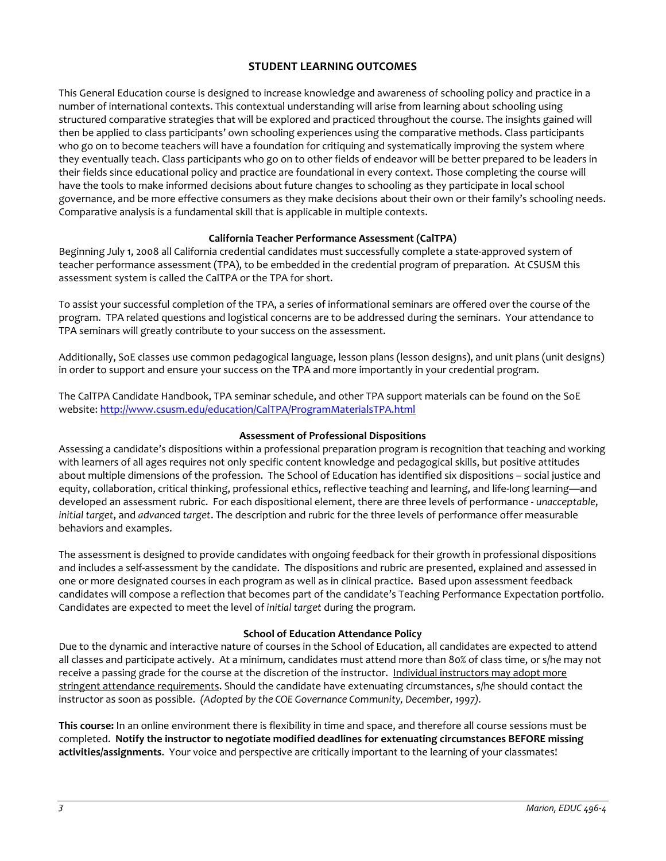# **STUDENT LEARNING OUTCOMES**

This General Education course is designed to increase knowledge and awareness of schooling policy and practice in a number of international contexts. This contextual understanding will arise from learning about schooling using structured comparative strategies that will be explored and practiced throughout the course. The insights gained will then be applied to class participants' own schooling experiences using the comparative methods. Class participants who go on to become teachers will have a foundation for critiquing and systematically improving the system where they eventually teach. Class participants who go on to other fields of endeavor will be better prepared to be leaders in their fields since educational policy and practice are foundational in every context. Those completing the course will have the tools to make informed decisions about future changes to schooling as they participate in local school governance, and be more effective consumers as they make decisions about their own or their family's schooling needs. Comparative analysis is a fundamental skill that is applicable in multiple contexts.

### **California Teacher Performance Assessment (CalTPA)**

Beginning July 1, 2008 all California credential candidates must successfully complete a state-approved system of teacher performance assessment (TPA), to be embedded in the credential program of preparation. At CSUSM this assessment system is called the CalTPA or the TPA for short.

To assist your successful completion of the TPA, a series of informational seminars are offered over the course of the program. TPA related questions and logistical concerns are to be addressed during the seminars. Your attendance to TPA seminars will greatly contribute to your success on the assessment.

Additionally, SoE classes use common pedagogical language, lesson plans (lesson designs), and unit plans (unit designs) in order to support and ensure your success on the TPA and more importantly in your credential program.

The CalTPA Candidate Handbook, TPA seminar schedule, and other TPA support materials can be found on the SoE website: <http://www.csusm.edu/education/CalTPA/ProgramMaterialsTPA.html>

### **Assessment of Professional Dispositions**

Assessing a candidate's dispositions within a professional preparation program is recognition that teaching and working with learners of all ages requires not only specific content knowledge and pedagogical skills, but positive attitudes about multiple dimensions of the profession. The School of Education has identified six dispositions – social justice and equity, collaboration, critical thinking, professional ethics, reflective teaching and learning, and life-long learning—and developed an assessment rubric. For each dispositional element, there are three levels of performance - *unacceptable*, *initial target*, and *advanced target*. The description and rubric for the three levels of performance offer measurable behaviors and examples.

The assessment is designed to provide candidates with ongoing feedback for their growth in professional dispositions and includes a self-assessment by the candidate. The dispositions and rubric are presented, explained and assessed in one or more designated courses in each program as well as in clinical practice. Based upon assessment feedback candidates will compose a reflection that becomes part of the candidate's Teaching Performance Expectation portfolio. Candidates are expected to meet the level of *initial target* during the program.

### **School of Education Attendance Policy**

Due to the dynamic and interactive nature of courses in the School of Education, all candidates are expected to attend all classes and participate actively. At a minimum, candidates must attend more than 80% of class time, or s/he may not receive a passing grade for the course at the discretion of the instructor. Individual instructors may adopt more stringent attendance requirements. Should the candidate have extenuating circumstances, s/he should contact the instructor as soon as possible. *(Adopted by the COE Governance Community, December, 1997).*

**This course:** In an online environment there is flexibility in time and space, and therefore all course sessions must be completed. **Notify the instructor to negotiate modified deadlines for extenuating circumstances BEFORE missing activities/assignments**. Your voice and perspective are critically important to the learning of your classmates!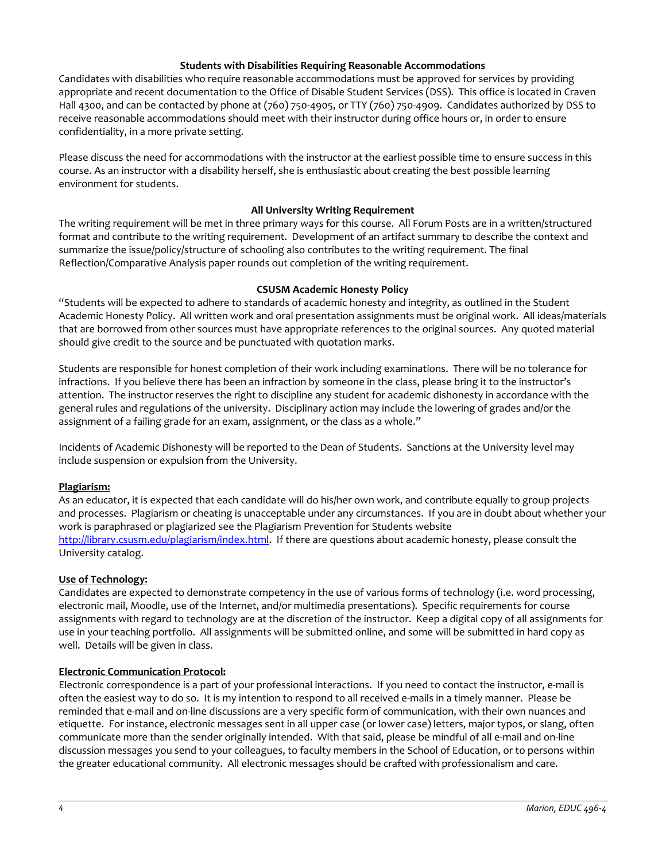### **Students with Disabilities Requiring Reasonable Accommodations**

Candidates with disabilities who require reasonable accommodations must be approved for services by providing appropriate and recent documentation to the Office of Disable Student Services (DSS). This office is located in Craven Hall 4300, and can be contacted by phone at (760) 750-4905, or TTY (760) 750-4909. Candidates authorized by DSS to receive reasonable accommodations should meet with their instructor during office hours or, in order to ensure confidentiality, in a more private setting.

Please discuss the need for accommodations with the instructor at the earliest possible time to ensure success in this course. As an instructor with a disability herself, she is enthusiastic about creating the best possible learning environment for students.

# **All University Writing Requirement**

The writing requirement will be met in three primary ways for this course. All Forum Posts are in a written/structured format and contribute to the writing requirement. Development of an artifact summary to describe the context and summarize the issue/policy/structure of schooling also contributes to the writing requirement. The final Reflection/Comparative Analysis paper rounds out completion of the writing requirement.

### **CSUSM Academic Honesty Policy**

"Students will be expected to adhere to standards of academic honesty and integrity, as outlined in the Student Academic Honesty Policy. All written work and oral presentation assignments must be original work. All ideas/materials that are borrowed from other sources must have appropriate references to the original sources. Any quoted material should give credit to the source and be punctuated with quotation marks.

Students are responsible for honest completion of their work including examinations. There will be no tolerance for infractions. If you believe there has been an infraction by someone in the class, please bring it to the instructor's attention. The instructor reserves the right to discipline any student for academic dishonesty in accordance with the general rules and regulations of the university. Disciplinary action may include the lowering of grades and/or the assignment of a failing grade for an exam, assignment, or the class as a whole."

Incidents of Academic Dishonesty will be reported to the Dean of Students. Sanctions at the University level may include suspension or expulsion from the University.

# **Plagiarism:**

As an educator, it is expected that each candidate will do his/her own work, and contribute equally to group projects and processes. Plagiarism or cheating is unacceptable under any circumstances. If you are in doubt about whether your work is paraphrased or plagiarized see the Plagiarism Prevention for Students website [http://library.csusm.edu/plagiarism/index.html.](http://library.csusm.edu/plagiarism/index.html) If there are questions about academic honesty, please consult the University catalog.

### **Use of Technology:**

Candidates are expected to demonstrate competency in the use of various forms of technology (i.e. word processing, electronic mail, Moodle, use of the Internet, and/or multimedia presentations). Specific requirements for course assignments with regard to technology are at the discretion of the instructor. Keep a digital copy of all assignments for use in your teaching portfolio. All assignments will be submitted online, and some will be submitted in hard copy as well. Details will be given in class.

### **Electronic Communication Protocol:**

Electronic correspondence is a part of your professional interactions. If you need to contact the instructor, e-mail is often the easiest way to do so. It is my intention to respond to all received e-mails in a timely manner. Please be reminded that e-mail and on-line discussions are a very specific form of communication, with their own nuances and etiquette. For instance, electronic messages sent in all upper case (or lower case) letters, major typos, or slang, often communicate more than the sender originally intended. With that said, please be mindful of all e-mail and on-line discussion messages you send to your colleagues, to faculty members in the School of Education, or to persons within the greater educational community. All electronic messages should be crafted with professionalism and care.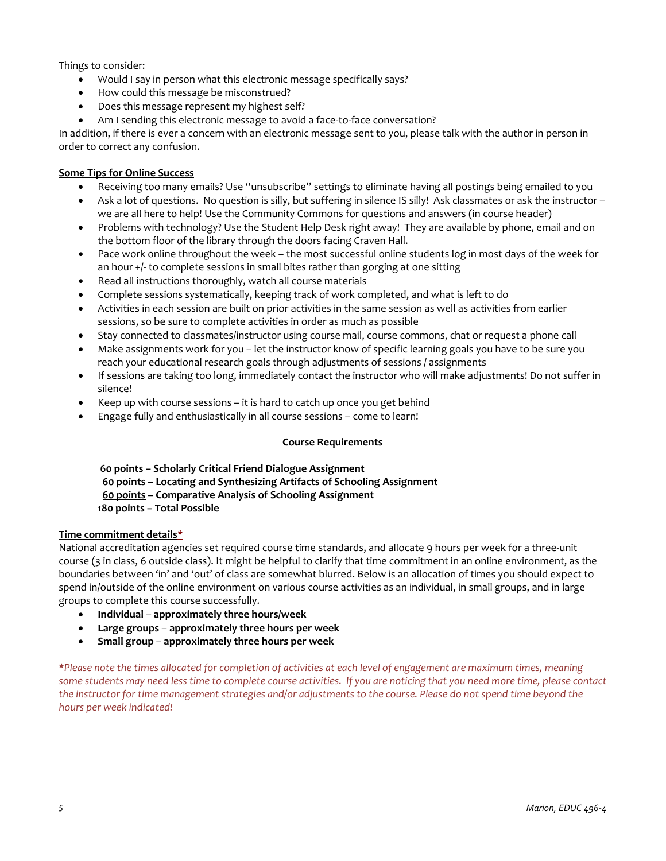Things to consider:

- Would I say in person what this electronic message specifically says?
- How could this message be misconstrued?
- Does this message represent my highest self?
- Am I sending this electronic message to avoid a face-to-face conversation?

In addition, if there is ever a concern with an electronic message sent to you, please talk with the author in person in order to correct any confusion.

# **Some Tips for Online Success**

- Receiving too many emails? Use "unsubscribe" settings to eliminate having all postings being emailed to you
- Ask a lot of questions. No question is silly, but suffering in silence IS silly! Ask classmates or ask the instructor we are all here to help! Use the Community Commons for questions and answers (in course header)
- Problems with technology? Use the Student Help Desk right away! They are available by phone, email and on the bottom floor of the library through the doors facing Craven Hall.
- Pace work online throughout the week the most successful online students log in most days of the week for an hour +/- to complete sessions in small bites rather than gorging at one sitting
- Read all instructions thoroughly, watch all course materials
- Complete sessions systematically, keeping track of work completed, and what is left to do
- Activities in each session are built on prior activities in the same session as well as activities from earlier sessions, so be sure to complete activities in order as much as possible
- Stay connected to classmates/instructor using course mail, course commons, chat or request a phone call
- Make assignments work for you let the instructor know of specific learning goals you have to be sure you reach your educational research goals through adjustments of sessions / assignments
- If sessions are taking too long, immediately contact the instructor who will make adjustments! Do not suffer in silence!
- Keep up with course sessions it is hard to catch up once you get behind
- Engage fully and enthusiastically in all course sessions come to learn!

# **Course Requirements**

**60 points – Scholarly Critical Friend Dialogue Assignment 60 points – Locating and Synthesizing Artifacts of Schooling Assignment 60 points – Comparative Analysis of Schooling Assignment 180 points – Total Possible** 

### **Time commitment details\***

National accreditation agencies set required course time standards, and allocate 9 hours per week for a three-unit course (3 in class, 6 outside class). It might be helpful to clarify that time commitment in an online environment, as the boundaries between 'in' and 'out' of class are somewhat blurred. Below is an allocation of times you should expect to spend in/outside of the online environment on various course activities as an individual, in small groups, and in large groups to complete this course successfully.

- **Individual approximately three hours/week**
- **Large groups approximately three hours per week**
- **Small group approximately three hours per week**

*\*Please note the times allocated for completion of activities at each level of engagement are maximum times, meaning some students may need less time to complete course activities. If you are noticing that you need more time, please contact the instructor for time management strategies and/or adjustments to the course. Please do not spend time beyond the hours per week indicated!*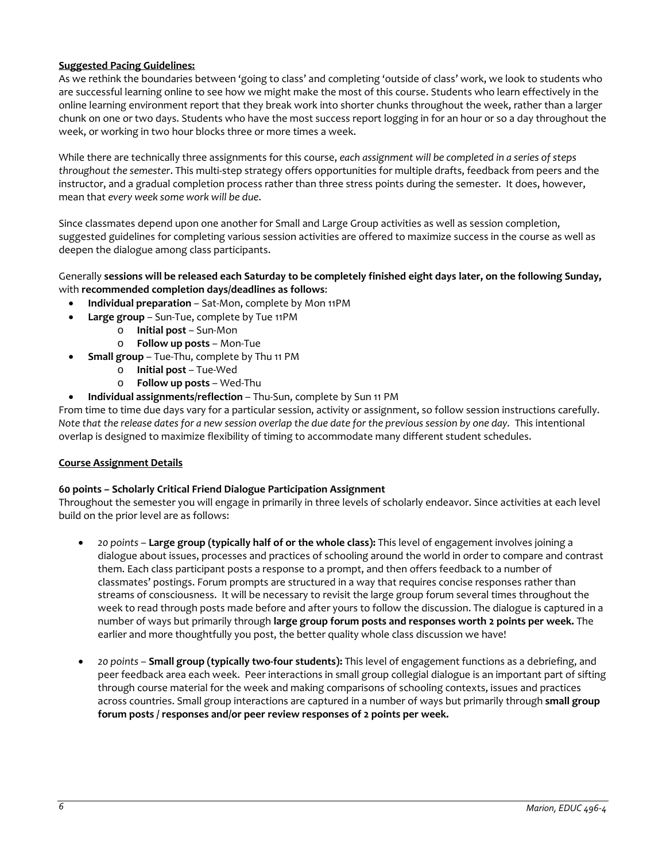# **Suggested Pacing Guidelines:**

As we rethink the boundaries between 'going to class' and completing 'outside of class' work, we look to students who are successful learning online to see how we might make the most of this course. Students who learn effectively in the online learning environment report that they break work into shorter chunks throughout the week, rather than a larger chunk on one or two days. Students who have the most success report logging in for an hour or so a day throughout the week, or working in two hour blocks three or more times a week.

While there are technically three assignments for this course, *each assignment will be completed in a series of steps throughout the semester*. This multi-step strategy offers opportunities for multiple drafts, feedback from peers and the instructor, and a gradual completion process rather than three stress points during the semester. It does, however, mean that *every week some work will be due*.

Since classmates depend upon one another for Small and Large Group activities as well as session completion, suggested guidelines for completing various session activities are offered to maximize success in the course as well as deepen the dialogue among class participants.

### Generally **sessions will be released each Saturday to be completely finished eight days later, on the following Sunday,** with **recommended completion days/deadlines as follows**:

- **Individual preparation** Sat-Mon, complete by Mon 11PM
- **Large group**  Sun-Tue, complete by Tue 11PM
	- o **Initial post** Sun-Mon
	- o **Follow up posts** Mon-Tue
- **Small group** Tue-Thu, complete by Thu 11 PM
	- o **Initial post**  Tue-Wed
	- Follow up posts Wed-Thu
- **Individual assignments/reflection** Thu-Sun, complete by Sun 11 PM

From time to time due days vary for a particular session, activity or assignment, so follow session instructions carefully. *Note that the release dates for a new session overlap the due date for the previous session by one day.* This intentional overlap is designed to maximize flexibility of timing to accommodate many different student schedules.

### **Course Assignment Details**

### **60 points – Scholarly Critical Friend Dialogue Participation Assignment**

Throughout the semester you will engage in primarily in three levels of scholarly endeavor. Since activities at each level build on the prior level are as follows:

- *20 points* **Large group (typically half of or the whole class):** This level of engagement involves joining a dialogue about issues, processes and practices of schooling around the world in order to compare and contrast them. Each class participant posts a response to a prompt, and then offers feedback to a number of classmates' postings. Forum prompts are structured in a way that requires concise responses rather than streams of consciousness. It will be necessary to revisit the large group forum several times throughout the week to read through posts made before and after yours to follow the discussion. The dialogue is captured in a number of ways but primarily through **large group forum posts and responses worth 2 points per week.** The earlier and more thoughtfully you post, the better quality whole class discussion we have!
- *20 points* **Small group (typically two-four students):** This level of engagement functions as a debriefing, and peer feedback area each week. Peer interactions in small group collegial dialogue is an important part of sifting through course material for the week and making comparisons of schooling contexts, issues and practices across countries. Small group interactions are captured in a number of ways but primarily through **small group forum posts / responses and/or peer review responses of 2 points per week.**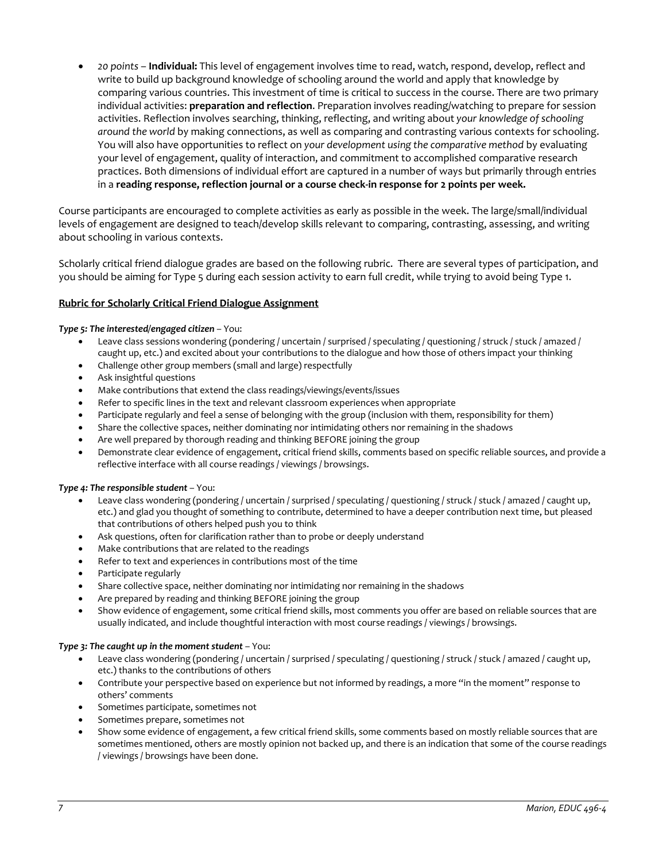• *20 points* – **Individual:** This level of engagement involves time to read, watch, respond, develop, reflect and write to build up background knowledge of schooling around the world and apply that knowledge by comparing various countries. This investment of time is critical to success in the course. There are two primary individual activities: **preparation and reflection**. Preparation involves reading/watching to prepare for session activities. Reflection involves searching, thinking, reflecting, and writing about *your knowledge of schooling around the world* by making connections, as well as comparing and contrasting various contexts for schooling. You will also have opportunities to reflect on *your development using the comparative method* by evaluating your level of engagement, quality of interaction, and commitment to accomplished comparative research practices. Both dimensions of individual effort are captured in a number of ways but primarily through entries in a **reading response, reflection journal or a course check-in response for 2 points per week.** 

Course participants are encouraged to complete activities as early as possible in the week. The large/small/individual levels of engagement are designed to teach/develop skills relevant to comparing, contrasting, assessing, and writing about schooling in various contexts.

Scholarly critical friend dialogue grades are based on the following rubric. There are several types of participation, and you should be aiming for Type 5 during each session activity to earn full credit, while trying to avoid being Type 1.

### **Rubric for Scholarly Critical Friend Dialogue Assignment**

#### *Type 5: The interested/engaged citizen* – You:

- Leave class sessions wondering (pondering / uncertain / surprised / speculating / questioning / struck / stuck / amazed / caught up, etc.) and excited about your contributions to the dialogue and how those of others impact your thinking
- Challenge other group members (small and large) respectfully
- Ask insightful questions
- Make contributions that extend the class readings/viewings/events/issues
- Refer to specific lines in the text and relevant classroom experiences when appropriate
- Participate regularly and feel a sense of belonging with the group (inclusion with them, responsibility for them)
- Share the collective spaces, neither dominating nor intimidating others nor remaining in the shadows
- Are well prepared by thorough reading and thinking BEFORE joining the group
- Demonstrate clear evidence of engagement, critical friend skills, comments based on specific reliable sources, and provide a reflective interface with all course readings / viewings / browsings.

#### *Type 4: The responsible student* – You:

- Leave class wondering (pondering / uncertain / surprised / speculating / questioning / struck / stuck / amazed / caught up, etc.) and glad you thought of something to contribute, determined to have a deeper contribution next time, but pleased that contributions of others helped push you to think
- Ask questions, often for clarification rather than to probe or deeply understand
- Make contributions that are related to the readings
- Refer to text and experiences in contributions most of the time
- Participate regularly
- Share collective space, neither dominating nor intimidating nor remaining in the shadows
- Are prepared by reading and thinking BEFORE joining the group
- Show evidence of engagement, some critical friend skills, most comments you offer are based on reliable sources that are usually indicated, and include thoughtful interaction with most course readings / viewings / browsings.

#### *Type 3: The caught up in the moment student* – You:

- Leave class wondering (pondering / uncertain / surprised / speculating / questioning / struck / stuck / amazed / caught up, etc.) thanks to the contributions of others
- Contribute your perspective based on experience but not informed by readings, a more "in the moment" response to others' comments
- Sometimes participate, sometimes not
- Sometimes prepare, sometimes not
- Show some evidence of engagement, a few critical friend skills, some comments based on mostly reliable sources that are sometimes mentioned, others are mostly opinion not backed up, and there is an indication that some of the course readings / viewings / browsings have been done.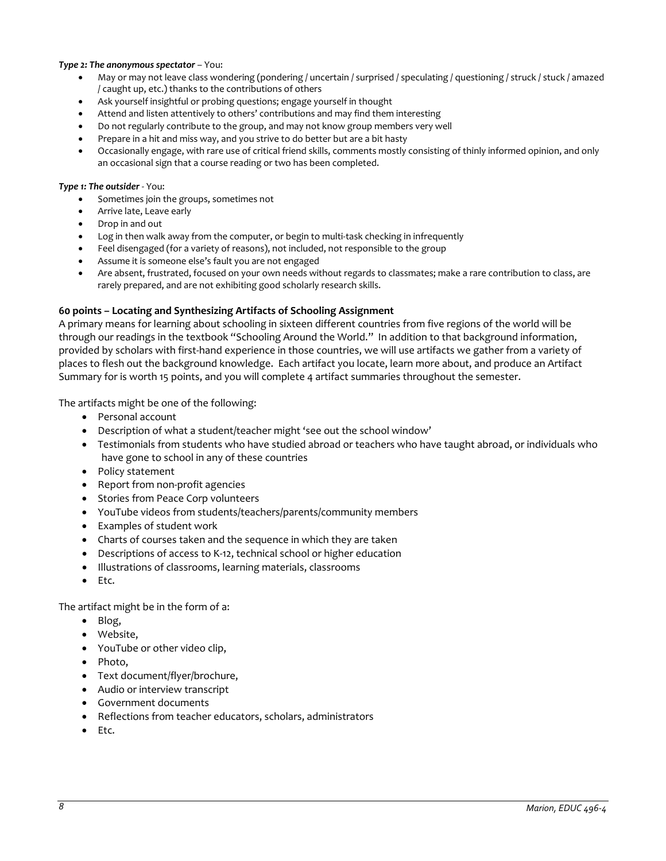#### *Type 2: The anonymous spectator* – You:

- May or may not leave class wondering (pondering / uncertain / surprised / speculating / questioning / struck / stuck / amazed / caught up, etc.) thanks to the contributions of others
- Ask yourself insightful or probing questions; engage yourself in thought
- Attend and listen attentively to others' contributions and may find them interesting
- Do not regularly contribute to the group, and may not know group members very well
- Prepare in a hit and miss way, and you strive to do better but are a bit hasty
- Occasionally engage, with rare use of critical friend skills, comments mostly consisting of thinly informed opinion, and only an occasional sign that a course reading or two has been completed.

#### *Type 1: The outsider* - You:

- Sometimes join the groups, sometimes not
- Arrive late, Leave early
- Drop in and out
- Log in then walk away from the computer, or begin to multi-task checking in infrequently
- Feel disengaged (for a variety of reasons), not included, not responsible to the group
- Assume it is someone else's fault you are not engaged
- Are absent, frustrated, focused on your own needs without regards to classmates; make a rare contribution to class, are rarely prepared, and are not exhibiting good scholarly research skills.

### **60 points – Locating and Synthesizing Artifacts of Schooling Assignment**

A primary means for learning about schooling in sixteen different countries from five regions of the world will be through our readings in the textbook "Schooling Around the World." In addition to that background information, provided by scholars with first-hand experience in those countries, we will use artifacts we gather from a variety of places to flesh out the background knowledge. Each artifact you locate, learn more about, and produce an Artifact Summary for is worth 15 points, and you will complete 4 artifact summaries throughout the semester.

The artifacts might be one of the following:

- Personal account
- Description of what a student/teacher might 'see out the school window'
- Testimonials from students who have studied abroad or teachers who have taught abroad, or individuals who have gone to school in any of these countries
- Policy statement
- Report from non-profit agencies
- Stories from Peace Corp volunteers
- YouTube videos from students/teachers/parents/community members
- Examples of student work
- Charts of courses taken and the sequence in which they are taken
- Descriptions of access to K-12, technical school or higher education
- Illustrations of classrooms, learning materials, classrooms
- Etc.

The artifact might be in the form of a:

- Blog,
- Website,
- YouTube or other video clip,
- Photo,
- Text document/flyer/brochure,
- Audio or interview transcript
- Government documents
- Reflections from teacher educators, scholars, administrators
- Etc.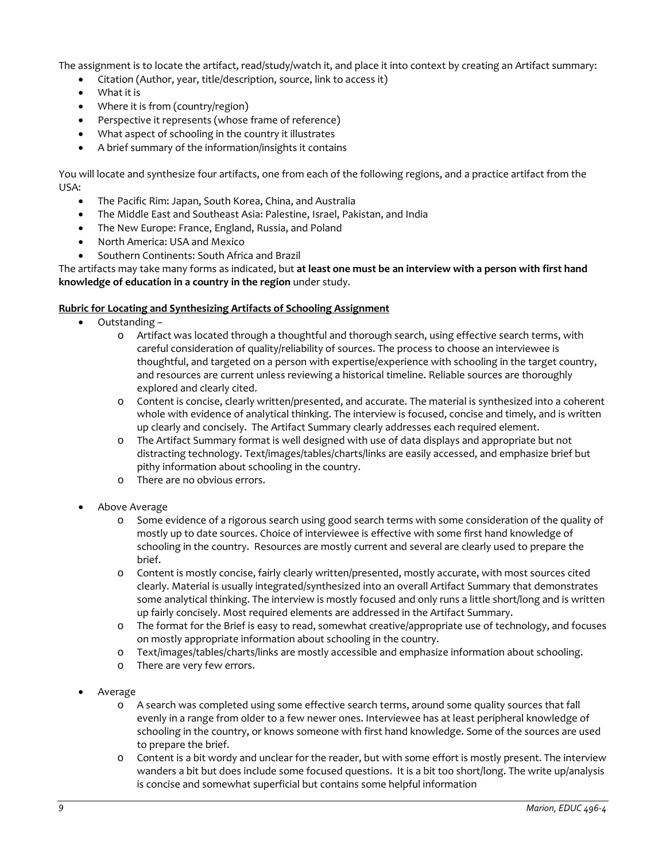The assignment is to locate the artifact, read/study/watch it, and place it into context by creating an Artifact summary:

- Citation (Author, year, title/description, source, link to access it)
- What it is
- Where it is from (country/region)
- Perspective it represents (whose frame of reference)
- What aspect of schooling in the country it illustrates
- A brief summary of the information/insights it contains

You will locate and synthesize four artifacts, one from each of the following regions, and a practice artifact from the USA:

- The Pacific Rim: Japan, South Korea, China, and Australia
- The Middle East and Southeast Asia: Palestine, Israel, Pakistan, and India
- The New Europe: France, England, Russia, and Poland
- North America: USA and Mexico
- Southern Continents: South Africa and Brazil

The artifacts may take many forms as indicated, but **at least one must be an interview with a person with first hand knowledge of education in a country in the region** under study.

### **Rubric for Locating and Synthesizing Artifacts of Schooling Assignment**

- Outstanding
	- o Artifact was located through a thoughtful and thorough search, using effective search terms, with careful consideration of quality/reliability of sources. The process to choose an interviewee is thoughtful, and targeted on a person with expertise/experience with schooling in the target country, and resources are current unless reviewing a historical timeline. Reliable sources are thoroughly explored and clearly cited.
	- o Content is concise, clearly written/presented, and accurate. The material is synthesized into a coherent whole with evidence of analytical thinking. The interview is focused, concise and timely, and is written up clearly and concisely. The Artifact Summary clearly addresses each required element.
	- o The Artifact Summary format is well designed with use of data displays and appropriate but not distracting technology. Text/images/tables/charts/links are easily accessed, and emphasize brief but pithy information about schooling in the country.
	- o There are no obvious errors.
- Above Average
	- o Some evidence of a rigorous search using good search terms with some consideration of the quality of mostly up to date sources. Choice of interviewee is effective with some first hand knowledge of schooling in the country. Resources are mostly current and several are clearly used to prepare the brief.
	- o Content is mostly concise, fairly clearly written/presented, mostly accurate, with most sources cited clearly. Material is usually integrated/synthesized into an overall Artifact Summary that demonstrates some analytical thinking. The interview is mostly focused and only runs a little short/long and is written up fairly concisely. Most required elements are addressed in the Artifact Summary.
	- o The format for the Brief is easy to read, somewhat creative/appropriate use of technology, and focuses on mostly appropriate information about schooling in the country.
	- o Text/images/tables/charts/links are mostly accessible and emphasize information about schooling.
	- o There are very few errors.
- **Average** 
	- o A search was completed using some effective search terms, around some quality sources that fall evenly in a range from older to a few newer ones. Interviewee has at least peripheral knowledge of schooling in the country, or knows someone with first hand knowledge. Some of the sources are used to prepare the brief.
	- o Content is a bit wordy and unclear for the reader, but with some effort is mostly present. The interview wanders a bit but does include some focused questions. It is a bit too short/long. The write up/analysis is concise and somewhat superficial but contains some helpful information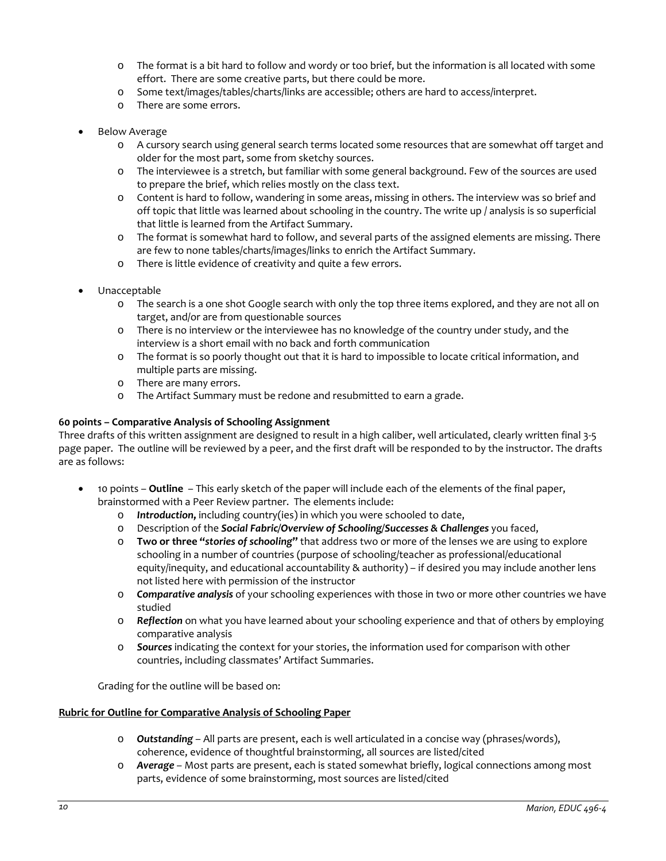- o The format is a bit hard to follow and wordy or too brief, but the information is all located with some effort. There are some creative parts, but there could be more.
- o Some text/images/tables/charts/links are accessible; others are hard to access/interpret.
- o There are some errors.
- Below Average
	- o A cursory search using general search terms located some resources that are somewhat off target and older for the most part, some from sketchy sources.
	- o The interviewee is a stretch, but familiar with some general background. Few of the sources are used to prepare the brief, which relies mostly on the class text.
	- o Content is hard to follow, wandering in some areas, missing in others. The interview was so brief and off topic that little was learned about schooling in the country. The write up / analysis is so superficial that little is learned from the Artifact Summary.
	- o The format is somewhat hard to follow, and several parts of the assigned elements are missing. There are few to none tables/charts/images/links to enrich the Artifact Summary.
	- o There is little evidence of creativity and quite a few errors.
- Unacceptable
	- o The search is a one shot Google search with only the top three items explored, and they are not all on target, and/or are from questionable sources
	- o There is no interview or the interviewee has no knowledge of the country under study, and the interview is a short email with no back and forth communication
	- o The format is so poorly thought out that it is hard to impossible to locate critical information, and multiple parts are missing.
	- o There are many errors.
	- o The Artifact Summary must be redone and resubmitted to earn a grade.

### **60 points – Comparative Analysis of Schooling Assignment**

Three drafts of this written assignment are designed to result in a high caliber, well articulated, clearly written final 3-5 page paper. The outline will be reviewed by a peer, and the first draft will be responded to by the instructor. The drafts are as follows:

- 10 points **Outline** This early sketch of the paper will include each of the elements of the final paper, brainstormed with a Peer Review partner. The elements include:
	- o *Introduction***,** including country(ies) in which you were schooled to date,
	- o Description of the *Social Fabric/Overview of Schooling/Successes & Challenges* you faced,
	- o **Two or three "***stories of schooling***"** that address two or more of the lenses we are using to explore schooling in a number of countries (purpose of schooling/teacher as professional/educational equity/inequity, and educational accountability & authority) – if desired you may include another lens not listed here with permission of the instructor
	- o *Comparative analysis* of your schooling experiences with those in two or more other countries we have studied
	- o *Reflection* on what you have learned about your schooling experience and that of others by employing comparative analysis
	- o *Sources* indicating the context for your stories, the information used for comparison with other countries, including classmates' Artifact Summaries.

Grading for the outline will be based on:

### **Rubric for Outline for Comparative Analysis of Schooling Paper**

- o *Outstanding* All parts are present, each is well articulated in a concise way (phrases/words), coherence, evidence of thoughtful brainstorming, all sources are listed/cited
- o *Average* Most parts are present, each is stated somewhat briefly, logical connections among most parts, evidence of some brainstorming, most sources are listed/cited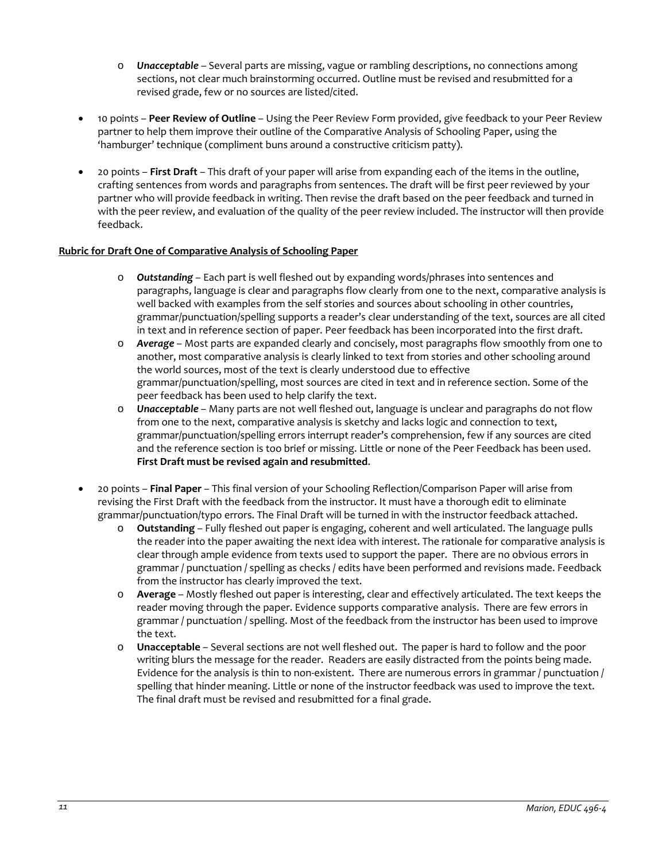- o *Unacceptable* Several parts are missing, vague or rambling descriptions, no connections among sections, not clear much brainstorming occurred. Outline must be revised and resubmitted for a revised grade, few or no sources are listed/cited.
- 10 points **Peer Review of Outline** Using the Peer Review Form provided, give feedback to your Peer Review partner to help them improve their outline of the Comparative Analysis of Schooling Paper, using the 'hamburger' technique (compliment buns around a constructive criticism patty).
- 20 points **First Draft** This draft of your paper will arise from expanding each of the items in the outline, crafting sentences from words and paragraphs from sentences. The draft will be first peer reviewed by your partner who will provide feedback in writing. Then revise the draft based on the peer feedback and turned in with the peer review, and evaluation of the quality of the peer review included. The instructor will then provide feedback.

### **Rubric for Draft One of Comparative Analysis of Schooling Paper**

- o *Outstanding* Each part is well fleshed out by expanding words/phrases into sentences and paragraphs, language is clear and paragraphs flow clearly from one to the next, comparative analysis is well backed with examples from the self stories and sources about schooling in other countries, grammar/punctuation/spelling supports a reader's clear understanding of the text, sources are all cited in text and in reference section of paper. Peer feedback has been incorporated into the first draft.
- o *Average* Most parts are expanded clearly and concisely, most paragraphs flow smoothly from one to another, most comparative analysis is clearly linked to text from stories and other schooling around the world sources, most of the text is clearly understood due to effective grammar/punctuation/spelling, most sources are cited in text and in reference section. Some of the peer feedback has been used to help clarify the text.
- o *Unacceptable* Many parts are not well fleshed out, language is unclear and paragraphs do not flow from one to the next, comparative analysis is sketchy and lacks logic and connection to text, grammar/punctuation/spelling errors interrupt reader's comprehension, few if any sources are cited and the reference section is too brief or missing. Little or none of the Peer Feedback has been used. **First Draft must be revised again and resubmitted**.
- 20 points **Final Paper** This final version of your Schooling Reflection/Comparison Paper will arise from revising the First Draft with the feedback from the instructor. It must have a thorough edit to eliminate grammar/punctuation/typo errors. The Final Draft will be turned in with the instructor feedback attached.
	- o **Outstanding** Fully fleshed out paper is engaging, coherent and well articulated. The language pulls the reader into the paper awaiting the next idea with interest. The rationale for comparative analysis is clear through ample evidence from texts used to support the paper. There are no obvious errors in grammar / punctuation / spelling as checks / edits have been performed and revisions made. Feedback from the instructor has clearly improved the text.
	- o **Average** Mostly fleshed out paper is interesting, clear and effectively articulated. The text keeps the reader moving through the paper. Evidence supports comparative analysis. There are few errors in grammar / punctuation / spelling. Most of the feedback from the instructor has been used to improve the text.
	- o **Unacceptable** Several sections are not well fleshed out. The paper is hard to follow and the poor writing blurs the message for the reader. Readers are easily distracted from the points being made. Evidence for the analysis is thin to non-existent. There are numerous errors in grammar / punctuation / spelling that hinder meaning. Little or none of the instructor feedback was used to improve the text. The final draft must be revised and resubmitted for a final grade.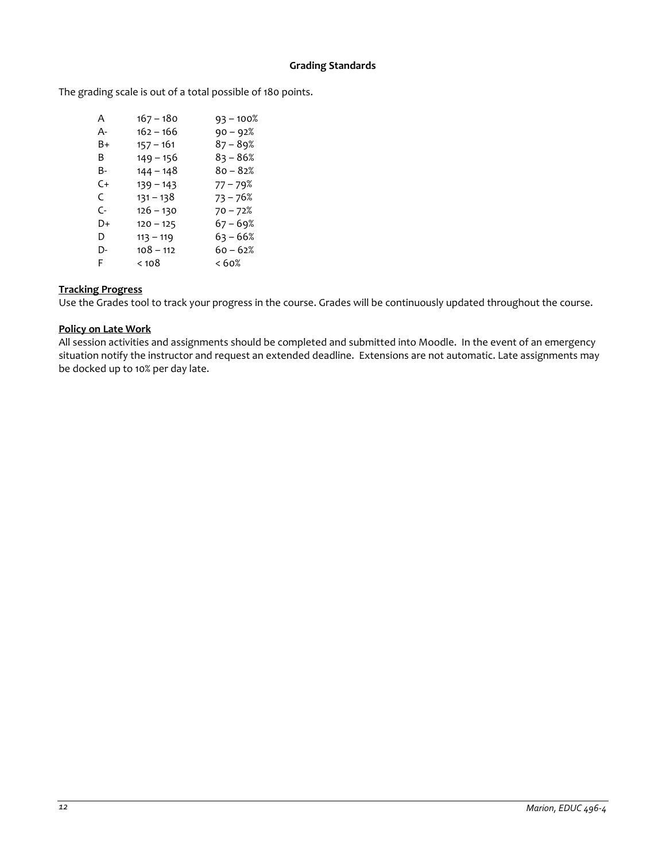### **Grading Standards**

The grading scale is out of a total possible of 180 points.

| A  | 167 – 180   | $93 - 100%$ |
|----|-------------|-------------|
| А- | $162 - 166$ | $90 - 92%$  |
| B+ | $157 - 161$ | 87 – 89%    |
| B  | $149 - 156$ | $83 - 86%$  |
| B- | 144 – 148   | 80 – 82%    |
| C+ | $139 - 143$ | 77 – 79%    |
| C  | 131 – 138   | $73 - 76%$  |
| C- | $126 - 130$ | $70 - 72%$  |
| D+ | $120 - 125$ | $67 - 69%$  |
| D  | $113 - 119$ | 63 – 66%    |
| D- | $108 - 112$ | $60 - 62%$  |
| F  | $<$ 10 $8$  | $<60\%$     |

# **Tracking Progress**

Use the Grades tool to track your progress in the course. Grades will be continuously updated throughout the course.

### **Policy on Late Work**

All session activities and assignments should be completed and submitted into Moodle. In the event of an emergency situation notify the instructor and request an extended deadline. Extensions are not automatic. Late assignments may be docked up to 10% per day late.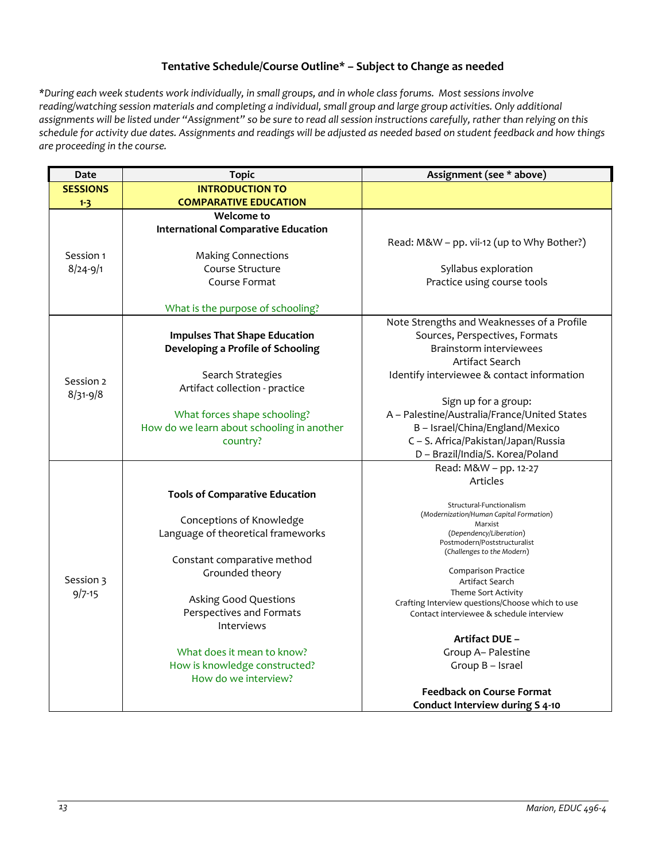# **Tentative Schedule/Course Outline\* – Subject to Change as needed**

*\*During each week students work individually, in small groups, and in whole class forums. Most sessions involve reading/watching session materials and completing a individual, small group and large group activities. Only additional assignments will be listed under "Assignment" so be sure to read all session instructions carefully, rather than relying on this schedule for activity due dates. Assignments and readings will be adjusted as needed based on student feedback and how things are proceeding in the course.*

| <b>Date</b>               | <b>Topic</b>                                                                                                                                                                                                                                                                                                        | Assignment (see * above)                                                                                                                                                                                                                                                                                                                                                                                                                                                                                                       |
|---------------------------|---------------------------------------------------------------------------------------------------------------------------------------------------------------------------------------------------------------------------------------------------------------------------------------------------------------------|--------------------------------------------------------------------------------------------------------------------------------------------------------------------------------------------------------------------------------------------------------------------------------------------------------------------------------------------------------------------------------------------------------------------------------------------------------------------------------------------------------------------------------|
| <b>SESSIONS</b>           | <b>INTRODUCTION TO</b>                                                                                                                                                                                                                                                                                              |                                                                                                                                                                                                                                                                                                                                                                                                                                                                                                                                |
| $1 - 3$                   | <b>COMPARATIVE EDUCATION</b>                                                                                                                                                                                                                                                                                        |                                                                                                                                                                                                                                                                                                                                                                                                                                                                                                                                |
| Session 1<br>$8/24 - 9/1$ | Welcome to<br><b>International Comparative Education</b><br><b>Making Connections</b><br>Course Structure<br>Course Format                                                                                                                                                                                          | Read: M&W - pp. vii-12 (up to Why Bother?)<br>Syllabus exploration<br>Practice using course tools                                                                                                                                                                                                                                                                                                                                                                                                                              |
|                           | What is the purpose of schooling?                                                                                                                                                                                                                                                                                   |                                                                                                                                                                                                                                                                                                                                                                                                                                                                                                                                |
| Session 2<br>$8/31 - 9/8$ | <b>Impulses That Shape Education</b><br>Developing a Profile of Schooling<br>Search Strategies<br>Artifact collection - practice<br>What forces shape schooling?<br>How do we learn about schooling in another<br>country?                                                                                          | Note Strengths and Weaknesses of a Profile<br>Sources, Perspectives, Formats<br><b>Brainstorm interviewees</b><br>Artifact Search<br>Identify interviewee & contact information<br>Sign up for a group:<br>A - Palestine/Australia/France/United States<br>B-Israel/China/England/Mexico<br>C - S. Africa/Pakistan/Japan/Russia<br>D - Brazil/India/S. Korea/Poland                                                                                                                                                            |
| Session 3<br>$9/7 - 15$   | <b>Tools of Comparative Education</b><br>Conceptions of Knowledge<br>Language of theoretical frameworks<br>Constant comparative method<br>Grounded theory<br>Asking Good Questions<br>Perspectives and Formats<br>Interviews<br>What does it mean to know?<br>How is knowledge constructed?<br>How do we interview? | Read: M&W - pp. 12-27<br><b>Articles</b><br>Structural-Functionalism<br>(Modernization/Human Capital Formation)<br>Marxist<br>(Dependency/Liberation)<br>Postmodern/Poststructuralist<br>(Challenges to the Modern)<br>Comparison Practice<br>Artifact Search<br>Theme Sort Activity<br>Crafting Interview questions/Choose which to use<br>Contact interviewee & schedule interview<br><b>Artifact DUE -</b><br>Group A- Palestine<br>Group B - Israel<br><b>Feedback on Course Format</b><br>Conduct Interview during S 4-10 |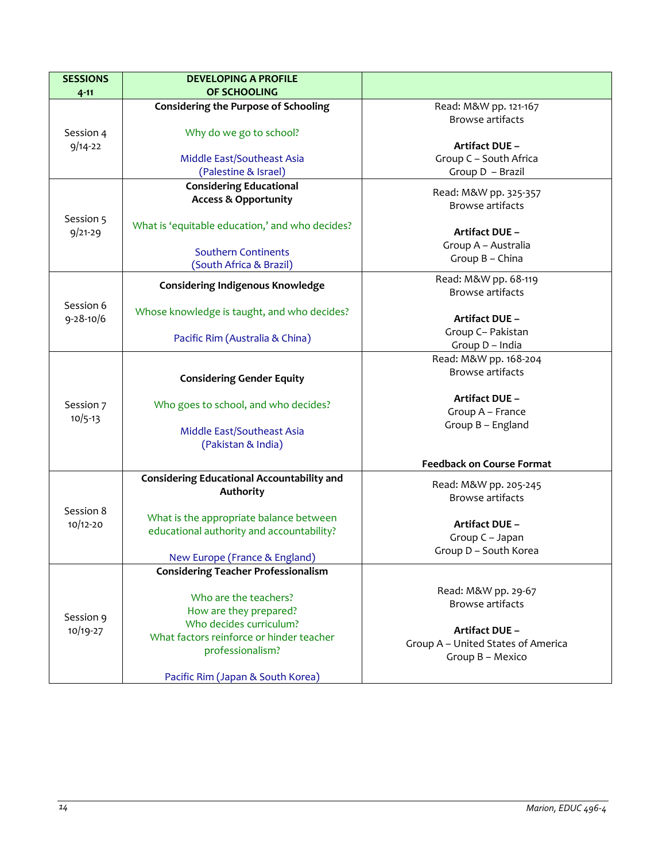| <b>SESSIONS</b>           | <b>DEVELOPING A PROFILE</b>                       |                                    |
|---------------------------|---------------------------------------------------|------------------------------------|
| $4 - 11$                  | OF SCHOOLING                                      |                                    |
|                           | <b>Considering the Purpose of Schooling</b>       | Read: M&W pp. 121-167              |
|                           |                                                   | <b>Browse artifacts</b>            |
| Session 4                 | Why do we go to school?                           |                                    |
| $9/14 - 22$               |                                                   | Artifact DUE -                     |
|                           | Middle East/Southeast Asia                        | Group C - South Africa             |
|                           | (Palestine & Israel)                              | Group D - Brazil                   |
|                           | <b>Considering Educational</b>                    | Read: M&W pp. 325-357              |
|                           | <b>Access &amp; Opportunity</b>                   | <b>Browse artifacts</b>            |
| Session 5                 |                                                   |                                    |
| $9/21 - 29$               | What is 'equitable education,' and who decides?   | Artifact DUE -                     |
|                           | <b>Southern Continents</b>                        | Group A - Australia                |
|                           |                                                   | Group B - China                    |
|                           | (South Africa & Brazil)                           | Read: M&W pp. 68-119               |
|                           | <b>Considering Indigenous Knowledge</b>           | <b>Browse artifacts</b>            |
| Session 6                 |                                                   |                                    |
| $9 - 28 - 10/6$           | Whose knowledge is taught, and who decides?       | Artifact DUE -                     |
|                           |                                                   | Group C- Pakistan                  |
|                           | Pacific Rim (Australia & China)                   | Group D - India                    |
|                           |                                                   | Read: M&W pp. 168-204              |
|                           |                                                   | <b>Browse artifacts</b>            |
|                           | <b>Considering Gender Equity</b>                  |                                    |
|                           |                                                   | Artifact DUE -                     |
| Session 7                 | Who goes to school, and who decides?              | Group A - France                   |
| $10/5 - 13$               |                                                   | Group B - England                  |
|                           | Middle East/Southeast Asia<br>(Pakistan & India)  |                                    |
|                           |                                                   |                                    |
|                           |                                                   | <b>Feedback on Course Format</b>   |
|                           | <b>Considering Educational Accountability and</b> | Read: M&W pp. 205-245              |
| Session 8<br>$10/12 - 20$ | Authority                                         | <b>Browse artifacts</b>            |
|                           |                                                   |                                    |
|                           | What is the appropriate balance between           | Artifact DUE -                     |
|                           | educational authority and accountability?         | Group C - Japan                    |
|                           |                                                   | Group D - South Korea              |
|                           | New Europe (France & England)                     |                                    |
| Session 9<br>10/19-27     | <b>Considering Teacher Professionalism</b>        |                                    |
|                           | Who are the teachers?                             | Read: M&W pp. 29-67                |
|                           | How are they prepared?                            | <b>Browse artifacts</b>            |
|                           | Who decides curriculum?                           |                                    |
|                           | What factors reinforce or hinder teacher          | Artifact DUE -                     |
|                           | professionalism?                                  | Group A - United States of America |
|                           |                                                   | Group B - Mexico                   |
|                           | Pacific Rim (Japan & South Korea)                 |                                    |